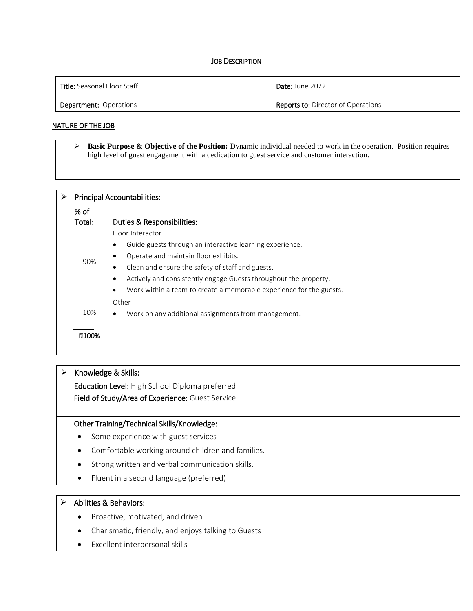#### **JOB DESCRIPTION**

Title: Seasonal Floor Staff data by the Case of the Date: June 2022

**Department:** Operations **Reports to: Director of Operations** 

#### NATURE OF THE JOB

➢ **Basic Purpose & Objective of the Position:** Dynamic individual needed to work in the operation. Position requires high level of guest engagement with a dedication to guest service and customer interaction.

|  | <b>Principal Accountabilities:</b> |                                                                     |
|--|------------------------------------|---------------------------------------------------------------------|
|  | % of                               |                                                                     |
|  | Total:                             | Duties & Responsibilities:                                          |
|  |                                    | Floor Interactor                                                    |
|  | 90%                                | Guide guests through an interactive learning experience.            |
|  |                                    | Operate and maintain floor exhibits.                                |
|  |                                    | Clean and ensure the safety of staff and guests.                    |
|  |                                    | Actively and consistently engage Guests throughout the property.    |
|  |                                    | Work within a team to create a memorable experience for the guests. |
|  |                                    | Other                                                               |
|  | 10%                                | Work on any additional assignments from management.<br>$\bullet$    |
|  | 图100%                              |                                                                     |
|  |                                    |                                                                     |

 $\triangleright$  Knowledge & Skills:

Education Level: High School Diploma preferred

Field of Study/Area of Experience: Guest Service

# Other Training/Technical Skills/Knowledge:

- Some experience with guest services
- Comfortable working around children and families.
- Strong written and verbal communication skills.
- Fluent in a second language (preferred)

#### ➢ Abilities & Behaviors:

- Proactive, motivated, and driven
- Charismatic, friendly, and enjoys talking to Guests
- Excellent interpersonal skills